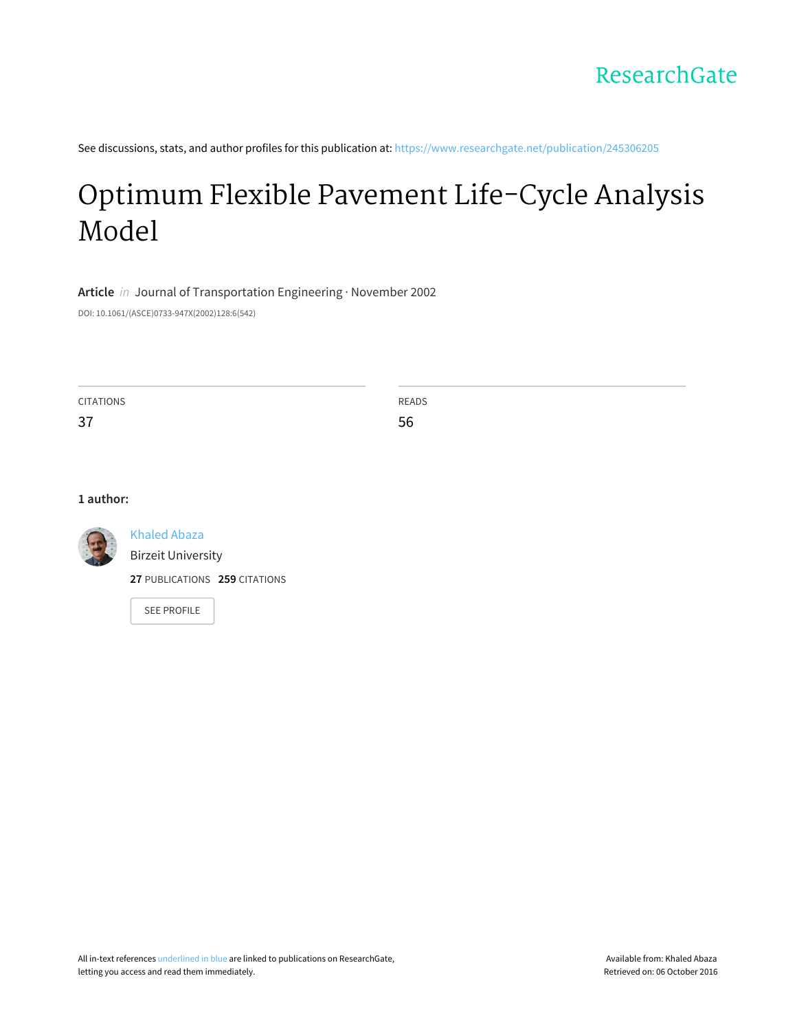See discussions, stats, and author profiles for this publication at: [https://www.researchgate.net/publication/245306205](https://www.researchgate.net/publication/245306205_Optimum_Flexible_Pavement_Life-Cycle_Analysis_Model?enrichId=rgreq-9129cb69fb32e87f5152135808aed043-XXX&enrichSource=Y292ZXJQYWdlOzI0NTMwNjIwNTtBUzoxOTc1NDgyMjU2MzQzMDVAMTQyNDExMDU3NTA3OA%3D%3D&el=1_x_2)

# Optimum Flexible Pavement [Life-Cycle](https://www.researchgate.net/publication/245306205_Optimum_Flexible_Pavement_Life-Cycle_Analysis_Model?enrichId=rgreq-9129cb69fb32e87f5152135808aed043-XXX&enrichSource=Y292ZXJQYWdlOzI0NTMwNjIwNTtBUzoxOTc1NDgyMjU2MzQzMDVAMTQyNDExMDU3NTA3OA%3D%3D&el=1_x_3) Analysis Model

**Article** in Journal of Transportation Engineering · November 2002 DOI: 10.1061/(ASCE)0733-947X(2002)128:6(542)

| <b>CITATIONS</b> | READS |
|------------------|-------|
| 37               | 56    |

**1 author:**



[Khaled](https://www.researchgate.net/profile/Khaled_Abaza?enrichId=rgreq-9129cb69fb32e87f5152135808aed043-XXX&enrichSource=Y292ZXJQYWdlOzI0NTMwNjIwNTtBUzoxOTc1NDgyMjU2MzQzMDVAMTQyNDExMDU3NTA3OA%3D%3D&el=1_x_5) Abaza

Birzeit [University](https://www.researchgate.net/institution/Birzeit_University?enrichId=rgreq-9129cb69fb32e87f5152135808aed043-XXX&enrichSource=Y292ZXJQYWdlOzI0NTMwNjIwNTtBUzoxOTc1NDgyMjU2MzQzMDVAMTQyNDExMDU3NTA3OA%3D%3D&el=1_x_6)

**27** PUBLICATIONS **259** CITATIONS

SEE [PROFILE](https://www.researchgate.net/profile/Khaled_Abaza?enrichId=rgreq-9129cb69fb32e87f5152135808aed043-XXX&enrichSource=Y292ZXJQYWdlOzI0NTMwNjIwNTtBUzoxOTc1NDgyMjU2MzQzMDVAMTQyNDExMDU3NTA3OA%3D%3D&el=1_x_7)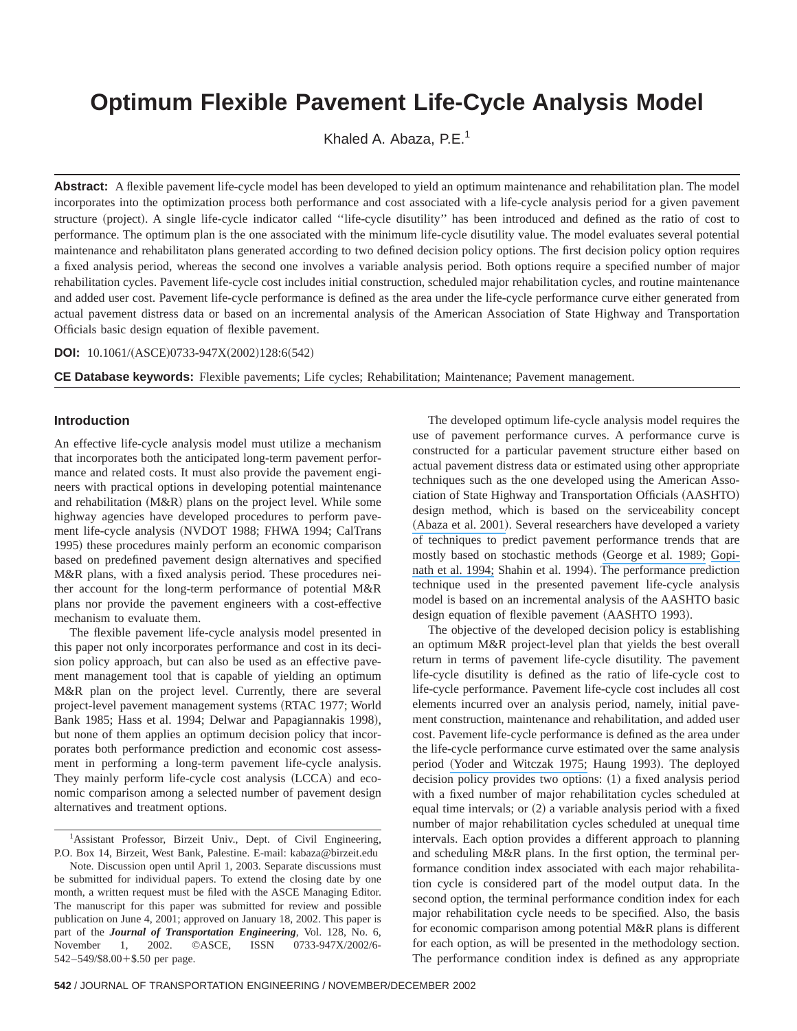# **Optimum Flexible Pavement Life-Cycle Analysis Model**

Khaled A. Abaza, P.E.<sup>1</sup>

Abstract: A flexible pavement life-cycle model has been developed to yield an optimum maintenance and rehabilitation plan. The model incorporates into the optimization process both performance and cost associated with a life-cycle analysis period for a given pavement structure (project). A single life-cycle indicator called "life-cycle disutility" has been introduced and defined as the ratio of cost to performance. The optimum plan is the one associated with the minimum life-cycle disutility value. The model evaluates several potential maintenance and rehabilitaton plans generated according to two defined decision policy options. The first decision policy option requires a fixed analysis period, whereas the second one involves a variable analysis period. Both options require a specified number of major rehabilitation cycles. Pavement life-cycle cost includes initial construction, scheduled major rehabilitation cycles, and routine maintenance and added user cost. Pavement life-cycle performance is defined as the area under the life-cycle performance curve either generated from actual pavement distress data or based on an incremental analysis of the American Association of State Highway and Transportation Officials basic design equation of flexible pavement.

#### **DOI:** 10.1061/(ASCE)0733-947X(2002)128:6(542)

**CE Database keywords:** Flexible pavements; Life cycles; Rehabilitation; Maintenance; Pavement management.

#### **Introduction**

An effective life-cycle analysis model must utilize a mechanism that incorporates both the anticipated long-term pavement performance and related costs. It must also provide the pavement engineers with practical options in developing potential maintenance and rehabilitation  $(M&R)$  plans on the project level. While some highway agencies have developed procedures to perform pavement life-cycle analysis (NVDOT 1988; FHWA 1994; CalTrans 1995) these procedures mainly perform an economic comparison based on predefined pavement design alternatives and specified M&R plans, with a fixed analysis period. These procedures neither account for the long-term performance of potential M&R plans nor provide the pavement engineers with a cost-effective mechanism to evaluate them.

The flexible pavement life-cycle analysis model presented in this paper not only incorporates performance and cost in its decision policy approach, but can also be used as an effective pavement management tool that is capable of yielding an optimum M&R plan on the project level. Currently, there are several project-level pavement management systems (RTAC 1977; World Bank 1985; Hass et al. 1994; Delwar and Papagiannakis 1998), but none of them applies an optimum decision policy that incorporates both performance prediction and economic cost assessment in performing a long-term pavement life-cycle analysis. They mainly perform life-cycle cost analysis (LCCA) and economic comparison among a selected number of pavement design alternatives and treatment options.

<sup>1</sup>Assistant Professor, Birzeit Univ., Dept. of Civil Engineering, P.O. Box 14, Birzeit, West Bank, Palestine. E-mail: kabaza@birzeit.edu

Note. Discussion open until April 1, 2003. Separate discussions must be submitted for individual papers. To extend the closing date by one month, a written request must be filed with the ASCE Managing Editor. The manuscript for this paper was submitted for review and possible publication on June 4, 2001; approved on January 18, 2002. This paper is part of the *Journal of Transportation Engineering*, Vol. 128, No. 6, November 1, 2002. ©ASCE, ISSN 0733-947X/2002/6- 542-549/\$8.00+\$.50 per page.

The developed optimum life-cycle analysis model requires the use of pavement performance curves. A performance curve is constructed for a particular pavement structure either based on actual pavement distress data or estimated using other appropriate techniques such as the one developed using the American Association of State Highway and Transportation Officials (AASHTO) design method, which is based on the serviceability concept ([Abaza et al. 2001](https://www.researchgate.net/publication/245306670_Macroscopic_Optimum_System_for_Management_of_Pavement_Rehabilitation?el=1_x_8&enrichId=rgreq-9129cb69fb32e87f5152135808aed043-XXX&enrichSource=Y292ZXJQYWdlOzI0NTMwNjIwNTtBUzoxOTc1NDgyMjU2MzQzMDVAMTQyNDExMDU3NTA3OA==)). Several researchers have developed a variety of techniques to predict pavement performance trends that are mostly based on stochastic methods ([George et al. 1989;](https://www.researchgate.net/publication/292700632_Models_for_predicting_pavement_deterioration?el=1_x_8&enrichId=rgreq-9129cb69fb32e87f5152135808aed043-XXX&enrichSource=Y292ZXJQYWdlOzI0NTMwNjIwNTtBUzoxOTc1NDgyMjU2MzQzMDVAMTQyNDExMDU3NTA3OA==) [Gopi](https://www.researchgate.net/publication/298023626_Modeling_performance_of_highway_pavements?el=1_x_8&enrichId=rgreq-9129cb69fb32e87f5152135808aed043-XXX&enrichSource=Y292ZXJQYWdlOzI0NTMwNjIwNTtBUzoxOTc1NDgyMjU2MzQzMDVAMTQyNDExMDU3NTA3OA==)[nath et al. 1994;](https://www.researchgate.net/publication/298023626_Modeling_performance_of_highway_pavements?el=1_x_8&enrichId=rgreq-9129cb69fb32e87f5152135808aed043-XXX&enrichSource=Y292ZXJQYWdlOzI0NTMwNjIwNTtBUzoxOTc1NDgyMjU2MzQzMDVAMTQyNDExMDU3NTA3OA==) Shahin et al. 1994). The performance prediction technique used in the presented pavement life-cycle analysis model is based on an incremental analysis of the AASHTO basic design equation of flexible pavement (AASHTO 1993).

The objective of the developed decision policy is establishing an optimum M&R project-level plan that yields the best overall return in terms of pavement life-cycle disutility. The pavement life-cycle disutility is defined as the ratio of life-cycle cost to life-cycle performance. Pavement life-cycle cost includes all cost elements incurred over an analysis period, namely, initial pavement construction, maintenance and rehabilitation, and added user cost. Pavement life-cycle performance is defined as the area under the life-cycle performance curve estimated over the same analysis period ([Yoder and Witczak 1975;](https://www.researchgate.net/publication/271485256_Principles_of_Pavement_Design?el=1_x_8&enrichId=rgreq-9129cb69fb32e87f5152135808aed043-XXX&enrichSource=Y292ZXJQYWdlOzI0NTMwNjIwNTtBUzoxOTc1NDgyMjU2MzQzMDVAMTQyNDExMDU3NTA3OA==) Haung 1993). The deployed decision policy provides two options:  $(1)$  a fixed analysis period with a fixed number of major rehabilitation cycles scheduled at equal time intervals; or (2) a variable analysis period with a fixed number of major rehabilitation cycles scheduled at unequal time intervals. Each option provides a different approach to planning and scheduling M&R plans. In the first option, the terminal performance condition index associated with each major rehabilitation cycle is considered part of the model output data. In the second option, the terminal performance condition index for each major rehabilitation cycle needs to be specified. Also, the basis for economic comparison among potential M&R plans is different for each option, as will be presented in the methodology section. The performance condition index is defined as any appropriate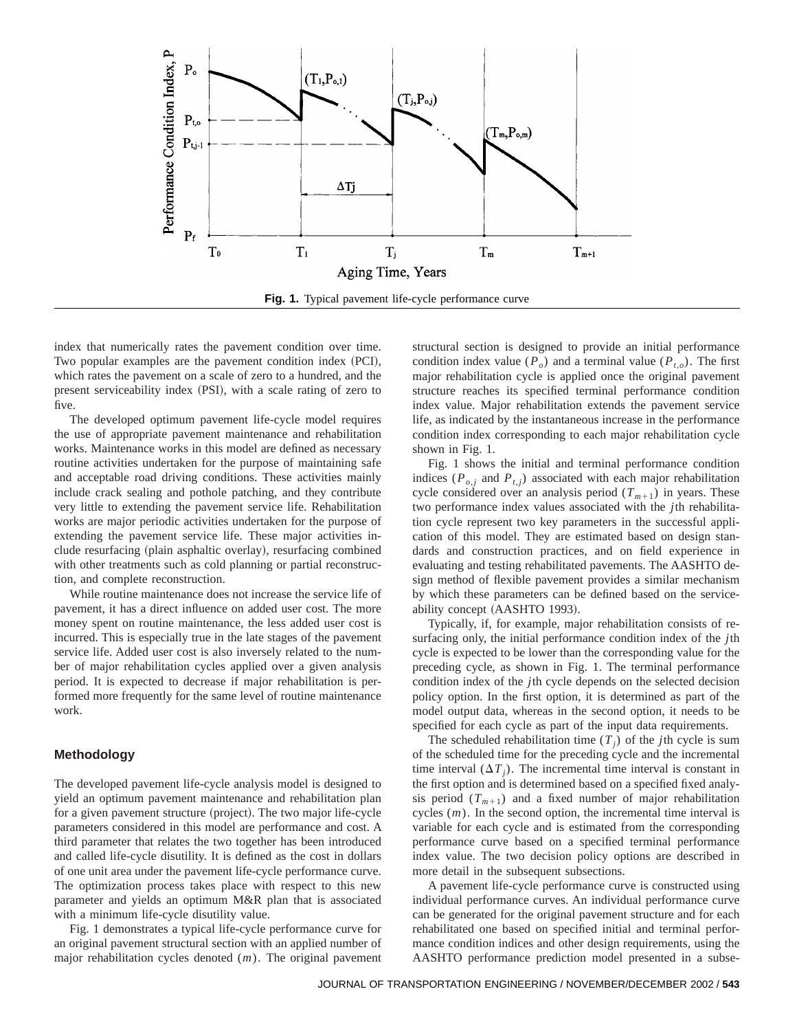

index that numerically rates the pavement condition over time. Two popular examples are the pavement condition index (PCI), which rates the pavement on a scale of zero to a hundred, and the present serviceability index (PSI), with a scale rating of zero to five.

The developed optimum pavement life-cycle model requires the use of appropriate pavement maintenance and rehabilitation works. Maintenance works in this model are defined as necessary routine activities undertaken for the purpose of maintaining safe and acceptable road driving conditions. These activities mainly include crack sealing and pothole patching, and they contribute very little to extending the pavement service life. Rehabilitation works are major periodic activities undertaken for the purpose of extending the pavement service life. These major activities include resurfacing (plain asphaltic overlay), resurfacing combined with other treatments such as cold planning or partial reconstruction, and complete reconstruction.

While routine maintenance does not increase the service life of pavement, it has a direct influence on added user cost. The more money spent on routine maintenance, the less added user cost is incurred. This is especially true in the late stages of the pavement service life. Added user cost is also inversely related to the number of major rehabilitation cycles applied over a given analysis period. It is expected to decrease if major rehabilitation is performed more frequently for the same level of routine maintenance work.

#### **Methodology**

The developed pavement life-cycle analysis model is designed to yield an optimum pavement maintenance and rehabilitation plan for a given pavement structure (project). The two major life-cycle parameters considered in this model are performance and cost. A third parameter that relates the two together has been introduced and called life-cycle disutility. It is defined as the cost in dollars of one unit area under the pavement life-cycle performance curve. The optimization process takes place with respect to this new parameter and yields an optimum M&R plan that is associated with a minimum life-cycle disutility value.

Fig. 1 demonstrates a typical life-cycle performance curve for an original pavement structural section with an applied number of major rehabilitation cycles denoted (*m*). The original pavement

structural section is designed to provide an initial performance condition index value ( $P_o$ ) and a terminal value ( $P_{t,o}$ ). The first major rehabilitation cycle is applied once the original pavement structure reaches its specified terminal performance condition index value. Major rehabilitation extends the pavement service life, as indicated by the instantaneous increase in the performance condition index corresponding to each major rehabilitation cycle shown in Fig. 1.

Fig. 1 shows the initial and terminal performance condition indices ( $P_{o,i}$  and  $P_{t,i}$ ) associated with each major rehabilitation cycle considered over an analysis period  $(T_{m+1})$  in years. These two performance index values associated with the *j*th rehabilitation cycle represent two key parameters in the successful application of this model. They are estimated based on design standards and construction practices, and on field experience in evaluating and testing rehabilitated pavements. The AASHTO design method of flexible pavement provides a similar mechanism by which these parameters can be defined based on the serviceability concept (AASHTO 1993).

Typically, if, for example, major rehabilitation consists of resurfacing only, the initial performance condition index of the *j*th cycle is expected to be lower than the corresponding value for the preceding cycle, as shown in Fig. 1. The terminal performance condition index of the *j*th cycle depends on the selected decision policy option. In the first option, it is determined as part of the model output data, whereas in the second option, it needs to be specified for each cycle as part of the input data requirements.

The scheduled rehabilitation time  $(T_i)$  of the *j*th cycle is sum of the scheduled time for the preceding cycle and the incremental time interval  $(\Delta T_i)$ . The incremental time interval is constant in the first option and is determined based on a specified fixed analysis period  $(T_{m+1})$  and a fixed number of major rehabilitation cycles (*m*). In the second option, the incremental time interval is variable for each cycle and is estimated from the corresponding performance curve based on a specified terminal performance index value. The two decision policy options are described in more detail in the subsequent subsections.

A pavement life-cycle performance curve is constructed using individual performance curves. An individual performance curve can be generated for the original pavement structure and for each rehabilitated one based on specified initial and terminal performance condition indices and other design requirements, using the AASHTO performance prediction model presented in a subse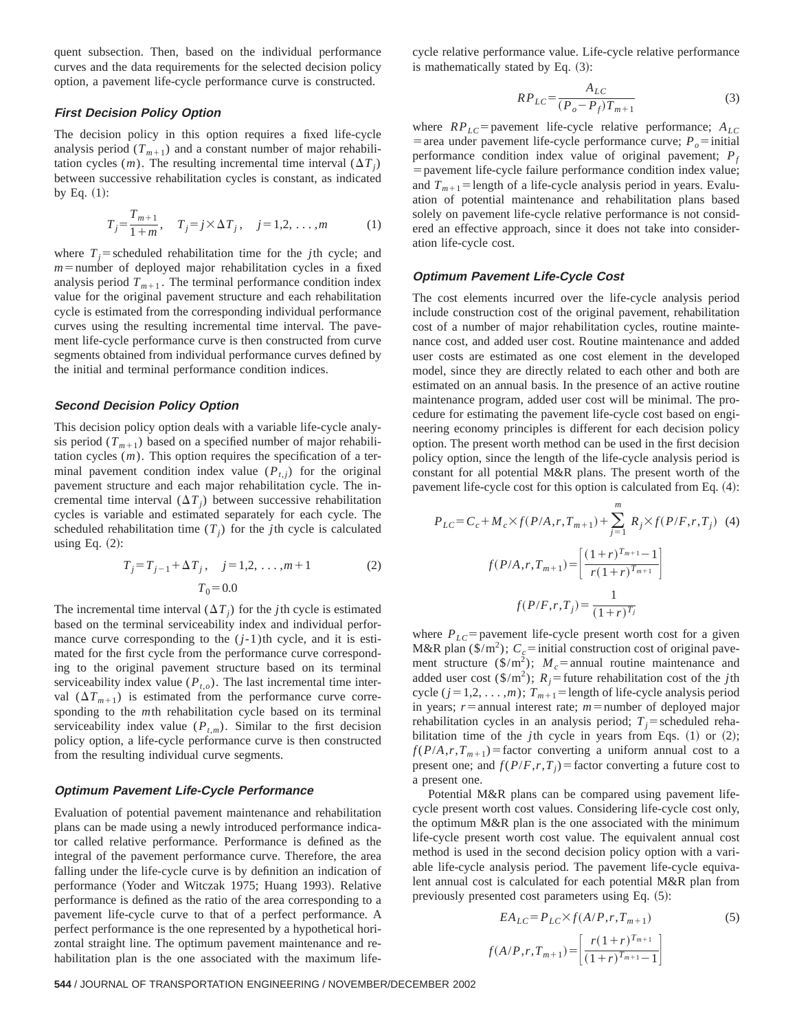quent subsection. Then, based on the individual performance curves and the data requirements for the selected decision policy option, a pavement life-cycle performance curve is constructed.

#### **First Decision Policy Option**

The decision policy in this option requires a fixed life-cycle analysis period  $(T_{m+1})$  and a constant number of major rehabilitation cycles  $(m)$ . The resulting incremental time interval  $(\Delta T_i)$ between successive rehabilitation cycles is constant, as indicated by Eq.  $(1)$ :

$$
T_j = \frac{T_{m+1}}{1+m}, \quad T_j = j \times \Delta T_j, \quad j = 1, 2, \dots, m \tag{1}
$$

where  $T_i$ = scheduled rehabilitation time for the *j*th cycle; and  $m$ =number of deployed major rehabilitation cycles in a fixed analysis period  $T_{m+1}$ . The terminal performance condition index value for the original pavement structure and each rehabilitation cycle is estimated from the corresponding individual performance curves using the resulting incremental time interval. The pavement life-cycle performance curve is then constructed from curve segments obtained from individual performance curves defined by the initial and terminal performance condition indices.

#### **Second Decision Policy Option**

This decision policy option deals with a variable life-cycle analysis period  $(T_{m+1})$  based on a specified number of major rehabilitation cycles (*m*). This option requires the specification of a terminal pavement condition index value  $(P_{t,j})$  for the original pavement structure and each major rehabilitation cycle. The incremental time interval  $(\Delta T_i)$  between successive rehabilitation cycles is variable and estimated separately for each cycle. The scheduled rehabilitation time  $(T_i)$  for the *j*th cycle is calculated using Eq.  $(2)$ :

$$
T_j = T_{j-1} + \Delta T_j, \quad j = 1, 2, \dots, m+1
$$
 (2)  

$$
T_0 = 0.0
$$

The incremental time interval  $(\Delta T_i)$  for the *j*th cycle is estimated based on the terminal serviceability index and individual performance curve corresponding to the  $(j-1)$ <sup>th</sup> cycle, and it is estimated for the first cycle from the performance curve corresponding to the original pavement structure based on its terminal serviceability index value  $(P_{t_0})$ . The last incremental time interval  $(\Delta T_{m+1})$  is estimated from the performance curve corresponding to the *m*th rehabilitation cycle based on its terminal serviceability index value  $(P_{t,m})$ . Similar to the first decision policy option, a life-cycle performance curve is then constructed from the resulting individual curve segments.

#### **Optimum Pavement Life-Cycle Performance**

Evaluation of potential pavement maintenance and rehabilitation plans can be made using a newly introduced performance indicator called relative performance. Performance is defined as the integral of the pavement performance curve. Therefore, the area falling under the life-cycle curve is by definition an indication of performance (Yoder and Witczak 1975; Huang 1993). Relative performance is defined as the ratio of the area corresponding to a pavement life-cycle curve to that of a perfect performance. A perfect performance is the one represented by a hypothetical horizontal straight line. The optimum pavement maintenance and rehabilitation plan is the one associated with the maximum lifecycle relative performance value. Life-cycle relative performance is mathematically stated by Eq.  $(3)$ :

$$
RP_{LC} = \frac{A_{LC}}{(P_o - P_f)T_{m+1}}
$$
 (3)

where  $RP_{LC}$ = pavement life-cycle relative performance;  $A_{LC}$  $=$ area under pavement life-cycle performance curve;  $P_o$  = initial performance condition index value of original pavement;  $P_f$ = pavement life-cycle failure performance condition index value; and  $T_{m+1}$ = length of a life-cycle analysis period in years. Evaluation of potential maintenance and rehabilitation plans based solely on pavement life-cycle relative performance is not considered an effective approach, since it does not take into consideration life-cycle cost.

### **Optimum Pavement Life-Cycle Cost**

The cost elements incurred over the life-cycle analysis period include construction cost of the original pavement, rehabilitation cost of a number of major rehabilitation cycles, routine maintenance cost, and added user cost. Routine maintenance and added user costs are estimated as one cost element in the developed model, since they are directly related to each other and both are estimated on an annual basis. In the presence of an active routine maintenance program, added user cost will be minimal. The procedure for estimating the pavement life-cycle cost based on engineering economy principles is different for each decision policy option. The present worth method can be used in the first decision policy option, since the length of the life-cycle analysis period is constant for all potential M&R plans. The present worth of the pavement life-cycle cost for this option is calculated from Eq.  $(4)$ :

$$
P_{LC} = C_c + M_c \times f(P/A, r, T_{m+1}) + \sum_{j=1}^{m} R_j \times f(P/F, r, T_j)
$$
 (4)  

$$
f(P/A, r, T_{m+1}) = \left[ \frac{(1+r)^{T_{m+1}} - 1}{r(1+r)^{T_{m+1}}} \right]
$$
  

$$
f(P/F, r, T_j) = \frac{1}{(1+r)^{T_j}}
$$

where  $P_{LC}$ = pavement life-cycle present worth cost for a given M&R plan  $(\frac{\text{S}}{m^2})$ ;  $C_c$  = initial construction cost of original pavement structure  $(\frac{f}{m^2})$ ;  $M_c$  = annual routine maintenance and added user cost  $(\frac{f}{m^2})$ ;  $R_j$  = future rehabilitation cost of the *j*th cycle ( $j=1,2,\ldots,m$ );  $T_{m+1}$ = length of life-cycle analysis period in years;  $r$ =annual interest rate;  $m$ =number of deployed major rehabilitation cycles in an analysis period;  $T_j$ = scheduled rehabilitation time of the *j*th cycle in years from Eqs. (1) or (2);  $f(P/A, r, T_{m+1})$ = factor converting a uniform annual cost to a present one; and  $f(P/F, r, T)$  = factor converting a future cost to a present one.

Potential M&R plans can be compared using pavement lifecycle present worth cost values. Considering life-cycle cost only, the optimum M&R plan is the one associated with the minimum life-cycle present worth cost value. The equivalent annual cost method is used in the second decision policy option with a variable life-cycle analysis period. The pavement life-cycle equivalent annual cost is calculated for each potential M&R plan from previously presented cost parameters using Eq.  $(5)$ :

$$
EA_{LC} = P_{LC} \times f(A/P, r, T_{m+1})
$$
\n
$$
f(A/P, r, T_{m+1}) = \left[ \frac{r(1+r)^{T_{m+1}}}{(1+r)^{T_{m+1}} - 1} \right]
$$
\n(5)

**544** / JOURNAL OF TRANSPORTATION ENGINEERING / NOVEMBER/DECEMBER 2002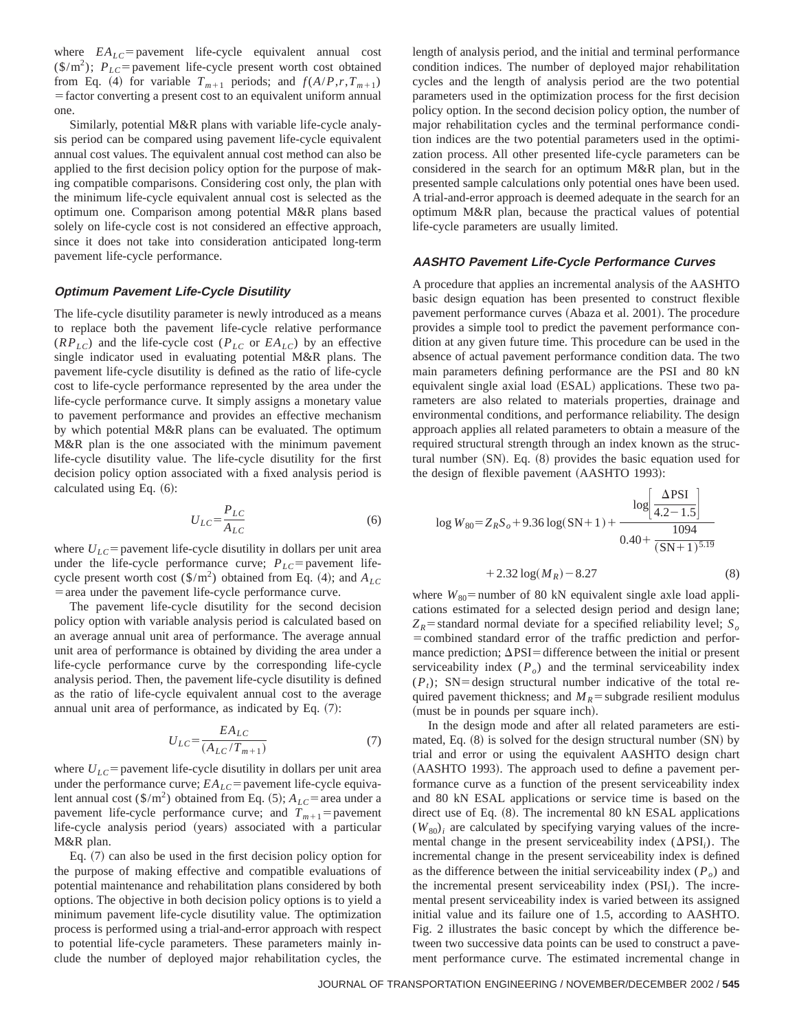where  $EA_{LC}$ = pavement life-cycle equivalent annual cost  $(\frac{\text{m}}{2})$ ;  $P_{LC}$ = pavement life-cycle present worth cost obtained from Eq. (4) for variable  $T_{m+1}$  periods; and  $f(A/P, r, T_{m+1})$ 5factor converting a present cost to an equivalent uniform annual one.

Similarly, potential M&R plans with variable life-cycle analysis period can be compared using pavement life-cycle equivalent annual cost values. The equivalent annual cost method can also be applied to the first decision policy option for the purpose of making compatible comparisons. Considering cost only, the plan with the minimum life-cycle equivalent annual cost is selected as the optimum one. Comparison among potential M&R plans based solely on life-cycle cost is not considered an effective approach, since it does not take into consideration anticipated long-term pavement life-cycle performance.

#### **Optimum Pavement Life-Cycle Disutility**

The life-cycle disutility parameter is newly introduced as a means to replace both the pavement life-cycle relative performance  $(RP_{LC})$  and the life-cycle cost  $(P_{LC})$  or  $EA_{LC}$  by an effective single indicator used in evaluating potential M&R plans. The pavement life-cycle disutility is defined as the ratio of life-cycle cost to life-cycle performance represented by the area under the life-cycle performance curve. It simply assigns a monetary value to pavement performance and provides an effective mechanism by which potential M&R plans can be evaluated. The optimum M&R plan is the one associated with the minimum pavement life-cycle disutility value. The life-cycle disutility for the first decision policy option associated with a fixed analysis period is calculated using Eq.  $(6)$ :

$$
U_{LC} = \frac{P_{LC}}{A_{LC}}\tag{6}
$$

where  $U_{LC}$ = pavement life-cycle disutility in dollars per unit area under the life-cycle performance curve;  $P_{LC}$ = pavement lifecycle present worth cost  $(\frac{1}{2})$  obtained from Eq. (4); and  $A_{LC}$ = area under the pavement life-cycle performance curve.

The pavement life-cycle disutility for the second decision policy option with variable analysis period is calculated based on an average annual unit area of performance. The average annual unit area of performance is obtained by dividing the area under a life-cycle performance curve by the corresponding life-cycle analysis period. Then, the pavement life-cycle disutility is defined as the ratio of life-cycle equivalent annual cost to the average annual unit area of performance, as indicated by Eq.  $(7)$ :

$$
U_{LC} = \frac{EA_{LC}}{(A_{LC}/T_{m+1})}
$$
 (7)

where  $U_{LC}$ = pavement life-cycle disutility in dollars per unit area under the performance curve;  $EA_{LC}$ = pavement life-cycle equivalent annual cost  $(\frac{\text{S}}{m^2})$  obtained from Eq. (5);  $A_{LC}$  = area under a pavement life-cycle performance curve; and  $T_{m+1}$ =pavement life-cycle analysis period (years) associated with a particular M&R plan.

Eq.  $(7)$  can also be used in the first decision policy option for the purpose of making effective and compatible evaluations of potential maintenance and rehabilitation plans considered by both options. The objective in both decision policy options is to yield a minimum pavement life-cycle disutility value. The optimization process is performed using a trial-and-error approach with respect to potential life-cycle parameters. These parameters mainly include the number of deployed major rehabilitation cycles, the

length of analysis period, and the initial and terminal performance condition indices. The number of deployed major rehabilitation cycles and the length of analysis period are the two potential parameters used in the optimization process for the first decision policy option. In the second decision policy option, the number of major rehabilitation cycles and the terminal performance condition indices are the two potential parameters used in the optimization process. All other presented life-cycle parameters can be considered in the search for an optimum M&R plan, but in the presented sample calculations only potential ones have been used. A trial-and-error approach is deemed adequate in the search for an optimum M&R plan, because the practical values of potential life-cycle parameters are usually limited.

#### **AASHTO Pavement Life-Cycle Performance Curves**

A procedure that applies an incremental analysis of the AASHTO basic design equation has been presented to construct flexible pavement performance curves (Abaza et al. 2001). The procedure provides a simple tool to predict the pavement performance condition at any given future time. This procedure can be used in the absence of actual pavement performance condition data. The two main parameters defining performance are the PSI and 80 kN equivalent single axial load (ESAL) applications. These two parameters are also related to materials properties, drainage and environmental conditions, and performance reliability. The design approach applies all related parameters to obtain a measure of the required structural strength through an index known as the structural number  $(SN)$ . Eq.  $(8)$  provides the basic equation used for the design of flexible pavement (AASHTO 1993):

$$
\log W_{80} = Z_R S_o + 9.36 \log(SN + 1) + \frac{\log \left[\frac{\Delta \text{PSI}}{4.2 - 1.5}\right]}{0.40 + \frac{1094}{(SN + 1)^{5.19}}}
$$
  
+ 2.32 \log(M\_R) - 8.27 (8)

where  $W_{80}$ =number of 80 kN equivalent single axle load applications estimated for a selected design period and design lane;  $Z_R$ = standard normal deviate for a specified reliability level; *S<sub>o</sub>* = combined standard error of the traffic prediction and performance prediction;  $\Delta$ PSI=difference between the initial or present serviceability index  $(P<sub>o</sub>)$  and the terminal serviceability index  $(P_t)$ ; SN=design structural number indicative of the total required pavement thickness; and  $M_R$ = subgrade resilient modulus (must be in pounds per square inch).

In the design mode and after all related parameters are estimated, Eq.  $(8)$  is solved for the design structural number  $(SN)$  by trial and error or using the equivalent AASHTO design chart (AASHTO 1993). The approach used to define a pavement performance curve as a function of the present serviceability index and 80 kN ESAL applications or service time is based on the direct use of Eq.  $(8)$ . The incremental 80 kN ESAL applications  $(W_{80})$ <sub>i</sub> are calculated by specifying varying values of the incremental change in the present serviceability index  $(\Delta \text{PSI}_i)$ . The incremental change in the present serviceability index is defined as the difference between the initial serviceability index  $(P<sub>o</sub>)$  and the incremental present serviceability index (PSI*i*). The incremental present serviceability index is varied between its assigned initial value and its failure one of 1.5, according to AASHTO. Fig. 2 illustrates the basic concept by which the difference between two successive data points can be used to construct a pavement performance curve. The estimated incremental change in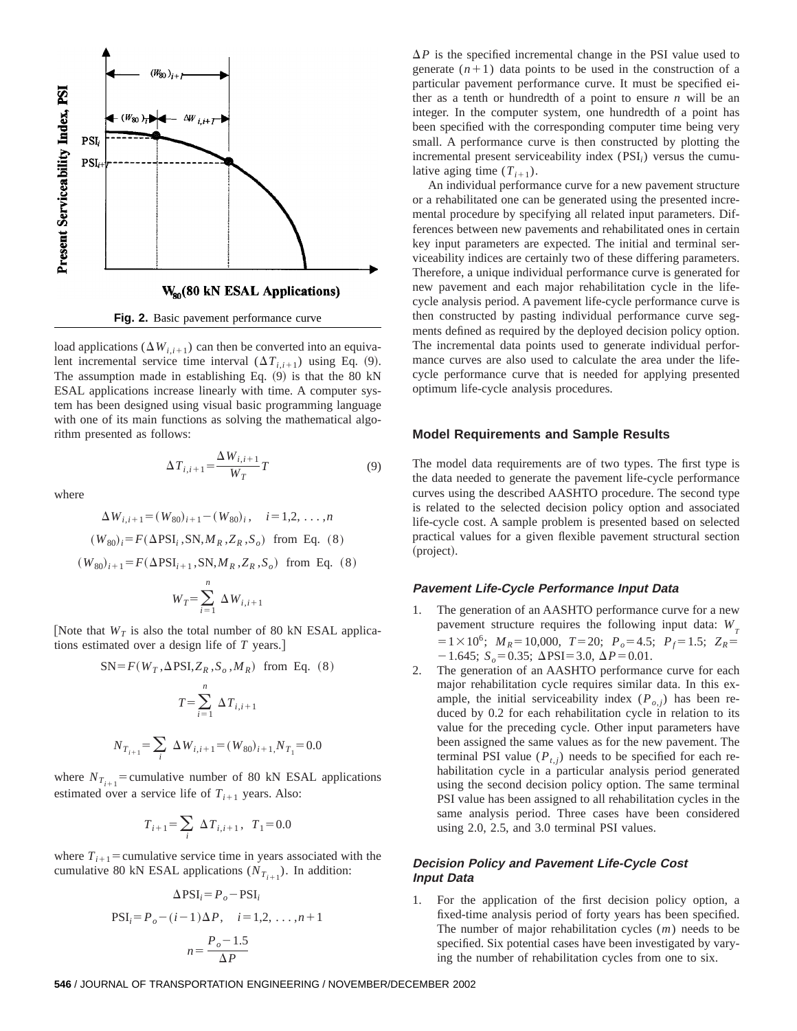

**Fig. 2.** Basic pavement performance curve

load applications ( $\Delta W_{i,i+1}$ ) can then be converted into an equivalent incremental service time interval  $(\Delta T_{i,i+1})$  using Eq. (9). The assumption made in establishing Eq.  $(9)$  is that the 80 kN ESAL applications increase linearly with time. A computer system has been designed using visual basic programming language with one of its main functions as solving the mathematical algorithm presented as follows:

$$
\Delta T_{i,i+1} = \frac{\Delta W_{i,i+1}}{W_T} T \tag{9}
$$

where

 $\Delta W_{i,i+1} = (W_{80})_{i+1} - (W_{80})_i, \quad i = 1,2,\ldots,n$  $(W_{80})_i = F(\Delta \text{PSI}_i, \text{SN}, M_R, Z_R, S_o)$  from Eq. (8)  $(W_{80})_{i+1} = F(\Delta \text{PSI}_{i+1}, \text{SN}, M_R, Z_R, S_o)$  from Eq. (8) *n*

$$
W_T = \sum_{i=1}^{\infty} \Delta W_{i,i+1}
$$

[Note that  $W_T$  is also the total number of 80 kN ESAL applications estimated over a design life of *T* years.#

$$
SN = F(W_T, \Delta \text{PSI}, Z_R, S_o, M_R) \text{ from Eq. (8)}
$$

$$
T = \sum_{i=1}^{n} \Delta T_{i,i+1}
$$
  

$$
N_{T_{i+1}} = \sum_{i} \Delta W_{i,i+1} = (W_{80})_{i+1} N_{T_1} = 0.0
$$

where  $N_{T_{i+1}}$  = cumulative number of 80 kN ESAL applications estimated over a service life of  $T_{i+1}$  years. Also:

$$
T_{i+1} = \sum_{i} \Delta T_{i,i+1}, T_1 = 0.0
$$

where  $T_{i+1}$  = cumulative service time in years associated with the cumulative 80 kN ESAL applications  $(N_{T_{i+1}})$ . In addition:

$$
\Delta \text{PSI}_{i} = P_o - \text{PSI}_{i}
$$
  
PSI<sub>i</sub> =  $P_o - (i - 1)\Delta P$ ,  $i = 1, 2, ..., n + 1$   

$$
n = \frac{P_o - 1.5}{\Delta P}
$$

 $\Delta P$  is the specified incremental change in the PSI value used to generate  $(n+1)$  data points to be used in the construction of a particular pavement performance curve. It must be specified either as a tenth or hundredth of a point to ensure *n* will be an integer. In the computer system, one hundredth of a point has been specified with the corresponding computer time being very small. A performance curve is then constructed by plotting the incremental present serviceability index (PSI<sub>i</sub>) versus the cumulative aging time  $(T_{i+1})$ .

An individual performance curve for a new pavement structure or a rehabilitated one can be generated using the presented incremental procedure by specifying all related input parameters. Differences between new pavements and rehabilitated ones in certain key input parameters are expected. The initial and terminal serviceability indices are certainly two of these differing parameters. Therefore, a unique individual performance curve is generated for new pavement and each major rehabilitation cycle in the lifecycle analysis period. A pavement life-cycle performance curve is then constructed by pasting individual performance curve segments defined as required by the deployed decision policy option. The incremental data points used to generate individual performance curves are also used to calculate the area under the lifecycle performance curve that is needed for applying presented optimum life-cycle analysis procedures.

#### **Model Requirements and Sample Results**

The model data requirements are of two types. The first type is the data needed to generate the pavement life-cycle performance curves using the described AASHTO procedure. The second type is related to the selected decision policy option and associated life-cycle cost. A sample problem is presented based on selected practical values for a given flexible pavement structural section (project).

#### **Pavement Life-Cycle Performance Input Data**

- 1. The generation of an AASHTO performance curve for a new pavement structure requires the following input data:  $W_T$  $=1\times10^6$ ;  $M_R=10,000$ ,  $T=20$ ;  $P_o=4.5$ ;  $P_f=1.5$ ;  $Z_R=$  $-1.645$ ;  $S<sub>o</sub>=0.35$ ;  $\Delta PSI=3.0$ ,  $\Delta P=0.01$ .
- 2. The generation of an AASHTO performance curve for each major rehabilitation cycle requires similar data. In this example, the initial serviceability index  $(P_{o,i})$  has been reduced by 0.2 for each rehabilitation cycle in relation to its value for the preceding cycle. Other input parameters have been assigned the same values as for the new pavement. The terminal PSI value  $(P_{t,j})$  needs to be specified for each rehabilitation cycle in a particular analysis period generated using the second decision policy option. The same terminal PSI value has been assigned to all rehabilitation cycles in the same analysis period. Three cases have been considered using 2.0, 2.5, and 3.0 terminal PSI values.

## **Decision Policy and Pavement Life-Cycle Cost Input Data**

1. For the application of the first decision policy option, a fixed-time analysis period of forty years has been specified. The number of major rehabilitation cycles (*m*) needs to be specified. Six potential cases have been investigated by varying the number of rehabilitation cycles from one to six.

**546** / JOURNAL OF TRANSPORTATION ENGINEERING / NOVEMBER/DECEMBER 2002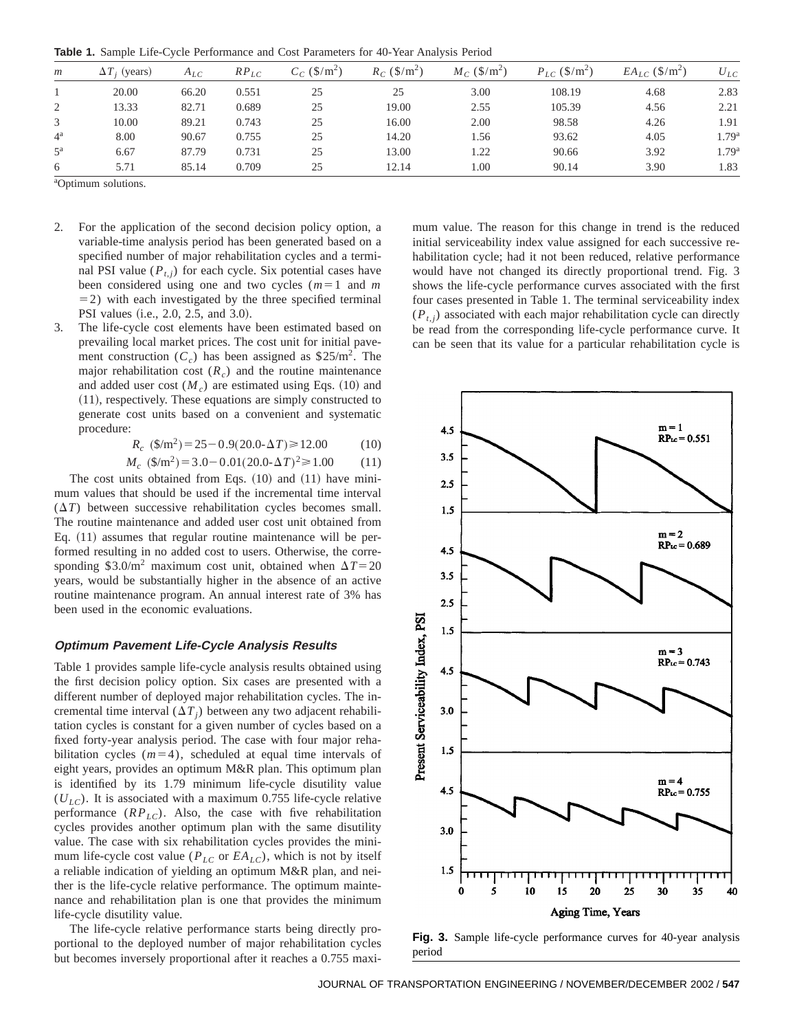**Table 1.** Sample Life-Cycle Performance and Cost Parameters for 40-Year Analysis Period

| $\boldsymbol{m}$ | $\Delta T_i$ (years) | $A_{LC}$ | $RP_{LC}$ | $C_C$ (\$/m <sup>2</sup> ) | $R_C$ (\$/m <sup>2</sup> ) | $M_C$ (\$/m <sup>2</sup> ) | $P_{LC}$ (\$/m <sup>2</sup> ) | $EA_{LC}$ (\$/m <sup>2</sup> ) | $U_{LC}$       |
|------------------|----------------------|----------|-----------|----------------------------|----------------------------|----------------------------|-------------------------------|--------------------------------|----------------|
|                  | 20.00                | 66.20    | 0.551     | 25                         | 25                         | 3.00                       | 108.19                        | 4.68                           | 2.83           |
|                  | 13.33                | 82.71    | 0.689     | 25                         | 19.00                      | 2.55                       | 105.39                        | 4.56                           | 2.21           |
| 3                | 10.00                | 89.21    | 0.743     | 25                         | 16.00                      | 2.00                       | 98.58                         | 4.26                           | 1.91           |
| $4^{\rm a}$      | 8.00                 | 90.67    | 0.755     | 25                         | 14.20                      | 1.56                       | 93.62                         | 4.05                           | $1.79^{\rm a}$ |
| $5^{\rm a}$      | 6.67                 | 87.79    | 0.731     | 25                         | 13.00                      | 1.22                       | 90.66                         | 3.92                           | $1.79^{\rm a}$ |
| 6                | 5.71                 | 85.14    | 0.709     | 25                         | 12.14                      | 1.00                       | 90.14                         | 3.90                           | 1.83           |

a Optimum solutions.

- 2. For the application of the second decision policy option, a variable-time analysis period has been generated based on a specified number of major rehabilitation cycles and a terminal PSI value  $(P_{t,j})$  for each cycle. Six potential cases have been considered using one and two cycles  $(m=1)$  and *m*  $=$  2) with each investigated by the three specified terminal PSI values (i.e., 2.0, 2.5, and 3.0).
- 3. The life-cycle cost elements have been estimated based on prevailing local market prices. The cost unit for initial pavement construction  $(C_c)$  has been assigned as \$25/m<sup>2</sup>. The major rehabilitation cost  $(R<sub>c</sub>)$  and the routine maintenance and added user cost  $(M<sub>c</sub>)$  are estimated using Eqs.  $(10)$  and (11), respectively. These equations are simply constructed to generate cost units based on a convenient and systematic procedure:

$$
R_c \ (\text{$\$m^2$}) = 25 - 0.9(20.0 - \Delta T) \ge 12.00 \tag{10}
$$

$$
M_c \ (\$/\text{m}^2) = 3.0 - 0.01(20.0 - \Delta T)^2 \ge 1.00 \tag{11}
$$

The cost units obtained from Eqs.  $(10)$  and  $(11)$  have minimum values that should be used if the incremental time interval  $(\Delta T)$  between successive rehabilitation cycles becomes small. The routine maintenance and added user cost unit obtained from Eq.  $(11)$  assumes that regular routine maintenance will be performed resulting in no added cost to users. Otherwise, the corresponding \$3.0/m<sup>2</sup> maximum cost unit, obtained when  $\Delta T = 20$ years, would be substantially higher in the absence of an active routine maintenance program. An annual interest rate of 3% has been used in the economic evaluations.

#### **Optimum Pavement Life-Cycle Analysis Results**

Table 1 provides sample life-cycle analysis results obtained using the first decision policy option. Six cases are presented with a different number of deployed major rehabilitation cycles. The incremental time interval  $(\Delta T_i)$  between any two adjacent rehabilitation cycles is constant for a given number of cycles based on a fixed forty-year analysis period. The case with four major rehabilitation cycles  $(m=4)$ , scheduled at equal time intervals of eight years, provides an optimum M&R plan. This optimum plan is identified by its 1.79 minimum life-cycle disutility value  $(U_{LC})$ . It is associated with a maximum 0.755 life-cycle relative performance  $(RP_{LC})$ . Also, the case with five rehabilitation cycles provides another optimum plan with the same disutility value. The case with six rehabilitation cycles provides the minimum life-cycle cost value ( $P_{LC}$  or  $EA_{LC}$ ), which is not by itself a reliable indication of yielding an optimum M&R plan, and neither is the life-cycle relative performance. The optimum maintenance and rehabilitation plan is one that provides the minimum life-cycle disutility value.

The life-cycle relative performance starts being directly proportional to the deployed number of major rehabilitation cycles but becomes inversely proportional after it reaches a 0.755 maximum value. The reason for this change in trend is the reduced initial serviceability index value assigned for each successive rehabilitation cycle; had it not been reduced, relative performance would have not changed its directly proportional trend. Fig. 3 shows the life-cycle performance curves associated with the first four cases presented in Table 1. The terminal serviceability index  $(P_{t,i})$  associated with each major rehabilitation cycle can directly be read from the corresponding life-cycle performance curve. It can be seen that its value for a particular rehabilitation cycle is



**Fig. 3.** Sample life-cycle performance curves for 40-year analysis period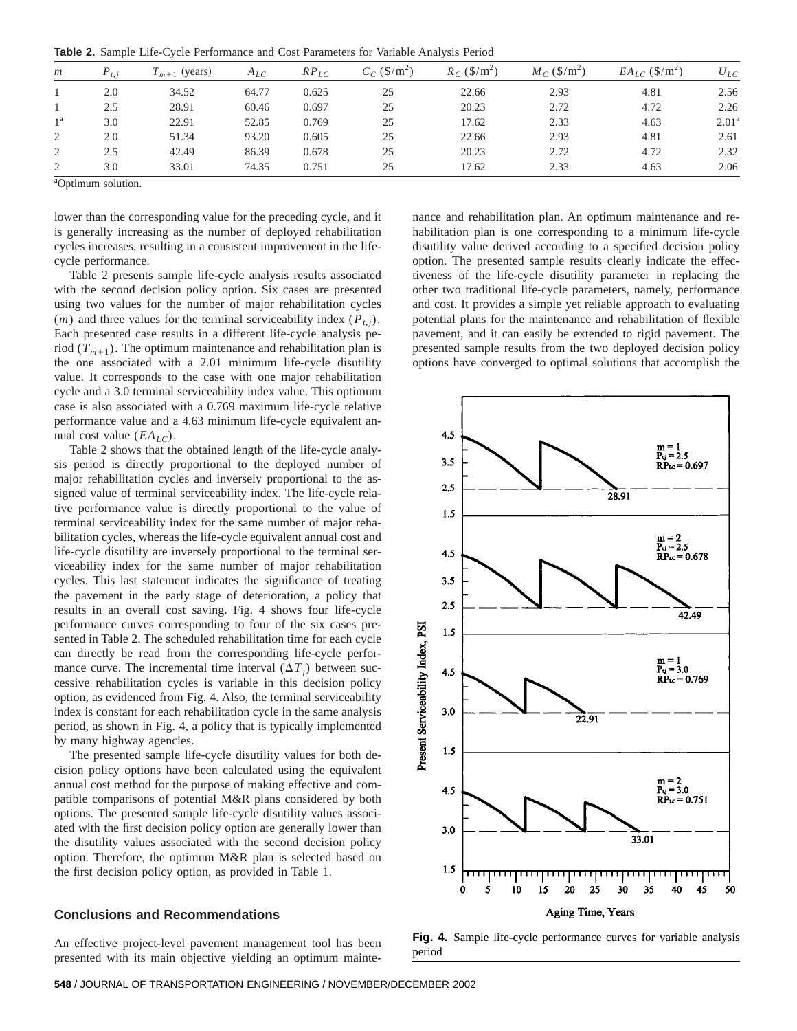**Table 2.** Sample Life-Cycle Performance and Cost Parameters for Variable Analysis Period

| m              | $P_{t,j}$ | $I_{m+1}$ (years) | $A_{LC}$ | $RP_{LC}$ | $C_C$ (\$/m <sup>2</sup> ) | $R_C$ (\$/m <sup>2</sup> ) | $M_C$ (\$/m <sup>2</sup> ) | $EA_{LC}$ (\$/m <sup>2</sup> ) | $U_{LC}$          |
|----------------|-----------|-------------------|----------|-----------|----------------------------|----------------------------|----------------------------|--------------------------------|-------------------|
|                | 2.0       | 34.52             | 64.77    | 0.625     | 25                         | 22.66                      | 2.93                       | 4.81                           | 2.56              |
|                | 2.5       | 28.91             | 60.46    | 0.697     | 25                         | 20.23                      | 2.72                       | 4.72                           | 2.26              |
| 1 <sup>a</sup> | 3.0       | 22.91             | 52.85    | 0.769     | 25                         | 17.62                      | 2.33                       | 4.63                           | 2.01 <sup>a</sup> |
| 2              | 2.0       | 51.34             | 93.20    | 0.605     | 25                         | 22.66                      | 2.93                       | 4.81                           | 2.61              |
| 2              | 2.5       | 42.49             | 86.39    | 0.678     | 25                         | 20.23                      | 2.72                       | 4.72                           | 2.32              |
| 2              | 3.0       | 33.01             | 74.35    | 0.751     | 25                         | 17.62                      | 2.33                       | 4.63                           | 2.06              |

a Optimum solution.

lower than the corresponding value for the preceding cycle, and it is generally increasing as the number of deployed rehabilitation cycles increases, resulting in a consistent improvement in the lifecycle performance.

Table 2 presents sample life-cycle analysis results associated with the second decision policy option. Six cases are presented using two values for the number of major rehabilitation cycles  $(m)$  and three values for the terminal serviceability index  $(P_{t,i})$ . Each presented case results in a different life-cycle analysis period  $(T_{m+1})$ . The optimum maintenance and rehabilitation plan is the one associated with a 2.01 minimum life-cycle disutility value. It corresponds to the case with one major rehabilitation cycle and a 3.0 terminal serviceability index value. This optimum case is also associated with a 0.769 maximum life-cycle relative performance value and a 4.63 minimum life-cycle equivalent annual cost value  $(EA_{LC})$ .

Table 2 shows that the obtained length of the life-cycle analysis period is directly proportional to the deployed number of major rehabilitation cycles and inversely proportional to the assigned value of terminal serviceability index. The life-cycle relative performance value is directly proportional to the value of terminal serviceability index for the same number of major rehabilitation cycles, whereas the life-cycle equivalent annual cost and life-cycle disutility are inversely proportional to the terminal serviceability index for the same number of major rehabilitation cycles. This last statement indicates the significance of treating the pavement in the early stage of deterioration, a policy that results in an overall cost saving. Fig. 4 shows four life-cycle performance curves corresponding to four of the six cases presented in Table 2. The scheduled rehabilitation time for each cycle can directly be read from the corresponding life-cycle performance curve. The incremental time interval  $(\Delta T_i)$  between successive rehabilitation cycles is variable in this decision policy option, as evidenced from Fig. 4. Also, the terminal serviceability index is constant for each rehabilitation cycle in the same analysis period, as shown in Fig. 4, a policy that is typically implemented by many highway agencies.

The presented sample life-cycle disutility values for both decision policy options have been calculated using the equivalent annual cost method for the purpose of making effective and compatible comparisons of potential M&R plans considered by both options. The presented sample life-cycle disutility values associated with the first decision policy option are generally lower than the disutility values associated with the second decision policy option. Therefore, the optimum M&R plan is selected based on the first decision policy option, as provided in Table 1.

# **Conclusions and Recommendations**

An effective project-level pavement management tool has been presented with its main objective yielding an optimum maintenance and rehabilitation plan. An optimum maintenance and rehabilitation plan is one corresponding to a minimum life-cycle disutility value derived according to a specified decision policy option. The presented sample results clearly indicate the effectiveness of the life-cycle disutility parameter in replacing the other two traditional life-cycle parameters, namely, performance and cost. It provides a simple yet reliable approach to evaluating potential plans for the maintenance and rehabilitation of flexible pavement, and it can easily be extended to rigid pavement. The presented sample results from the two deployed decision policy options have converged to optimal solutions that accomplish the



**Fig. 4.** Sample life-cycle performance curves for variable analysis period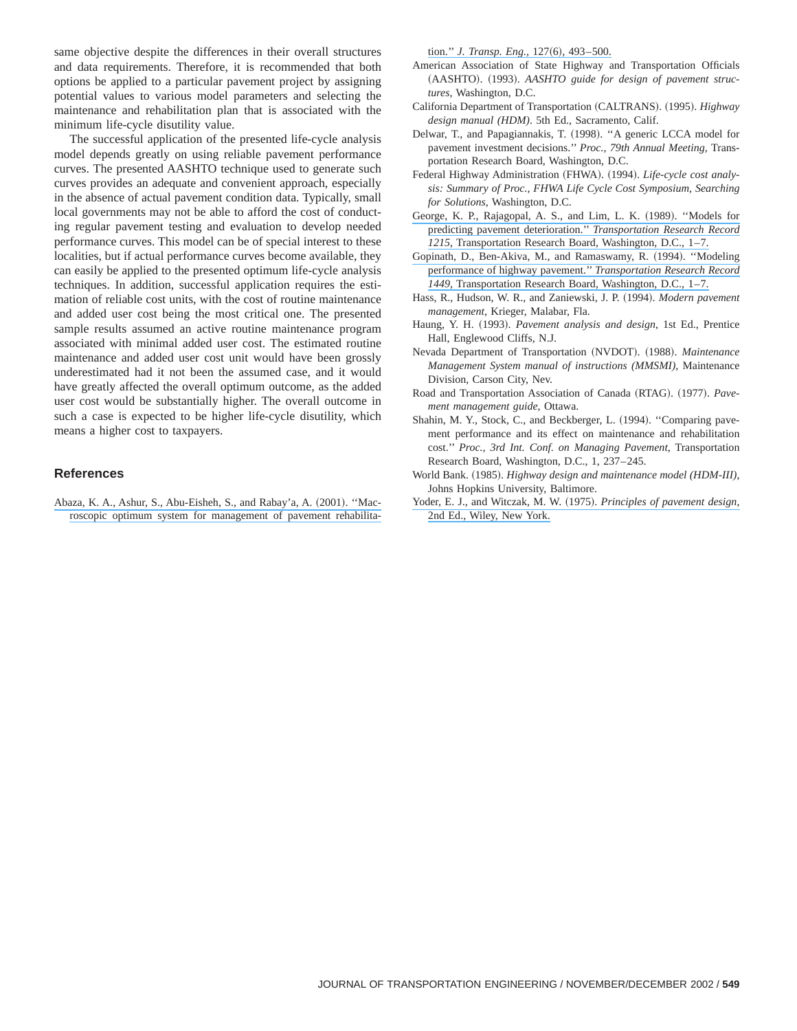same objective despite the differences in their overall structures and data requirements. Therefore, it is recommended that both options be applied to a particular pavement project by assigning potential values to various model parameters and selecting the maintenance and rehabilitation plan that is associated with the minimum life-cycle disutility value.

The successful application of the presented life-cycle analysis model depends greatly on using reliable pavement performance curves. The presented AASHTO technique used to generate such curves provides an adequate and convenient approach, especially in the absence of actual pavement condition data. Typically, small local governments may not be able to afford the cost of conducting regular pavement testing and evaluation to develop needed performance curves. This model can be of special interest to these localities, but if actual performance curves become available, they can easily be applied to the presented optimum life-cycle analysis techniques. In addition, successful application requires the estimation of reliable cost units, with the cost of routine maintenance and added user cost being the most critical one. The presented sample results assumed an active routine maintenance program associated with minimal added user cost. The estimated routine maintenance and added user cost unit would have been grossly underestimated had it not been the assumed case, and it would have greatly affected the overall optimum outcome, as the added user cost would be substantially higher. The overall outcome in such a case is expected to be higher life-cycle disutility, which means a higher cost to taxpayers.

#### **References**

[Abaza, K. A., Ashur, S., Abu-Eisheh, S., and Rabay'a, A.](https://www.researchgate.net/publication/245306670_Macroscopic_Optimum_System_for_Management_of_Pavement_Rehabilitation?el=1_x_8&enrichId=rgreq-9129cb69fb32e87f5152135808aed043-XXX&enrichSource=Y292ZXJQYWdlOzI0NTMwNjIwNTtBUzoxOTc1NDgyMjU2MzQzMDVAMTQyNDExMDU3NTA3OA==) (2001). "Mac[roscopic optimum system for management of pavement rehabilita-](https://www.researchgate.net/publication/245306670_Macroscopic_Optimum_System_for_Management_of_Pavement_Rehabilitation?el=1_x_8&enrichId=rgreq-9129cb69fb32e87f5152135808aed043-XXX&enrichSource=Y292ZXJQYWdlOzI0NTMwNjIwNTtBUzoxOTc1NDgyMjU2MzQzMDVAMTQyNDExMDU3NTA3OA==) tion." *J. Transp. Eng.*, 127(6), 493-500.

- American Association of State Highway and Transportation Officials (AASHTO). (1993). AASHTO guide for design of pavement struc*tures*, Washington, D.C.
- California Department of Transportation (CALTRANS). (1995). *Highway design manual (HDM)*. 5th Ed., Sacramento, Calif.
- Delwar, T., and Papagiannakis, T. (1998). "A generic LCCA model for pavement investment decisions.'' *Proc., 79th Annual Meeting*, Transportation Research Board, Washington, D.C.
- Federal Highway Administration (FHWA). (1994). *Life-cycle cost analysis: Summary of Proc., FHWA Life Cycle Cost Symposium, Searching for Solutions*, Washington, D.C.
- [George, K. P., Rajagopal, A. S., and Lim, L. K.](https://www.researchgate.net/publication/292700632_Models_for_predicting_pavement_deterioration?el=1_x_8&enrichId=rgreq-9129cb69fb32e87f5152135808aed043-XXX&enrichSource=Y292ZXJQYWdlOzI0NTMwNjIwNTtBUzoxOTc1NDgyMjU2MzQzMDVAMTQyNDExMDU3NTA3OA==) (1989). "Models for [predicting pavement deterioration.''](https://www.researchgate.net/publication/292700632_Models_for_predicting_pavement_deterioration?el=1_x_8&enrichId=rgreq-9129cb69fb32e87f5152135808aed043-XXX&enrichSource=Y292ZXJQYWdlOzI0NTMwNjIwNTtBUzoxOTc1NDgyMjU2MzQzMDVAMTQyNDExMDU3NTA3OA==) *Transportation Research Record 1215*[, Transportation Research Board, Washington, D.C., 1–7.](https://www.researchgate.net/publication/292700632_Models_for_predicting_pavement_deterioration?el=1_x_8&enrichId=rgreq-9129cb69fb32e87f5152135808aed043-XXX&enrichSource=Y292ZXJQYWdlOzI0NTMwNjIwNTtBUzoxOTc1NDgyMjU2MzQzMDVAMTQyNDExMDU3NTA3OA==)
- [Gopinath, D., Ben-Akiva, M., and Ramaswamy, R.](https://www.researchgate.net/publication/298023626_Modeling_performance_of_highway_pavements?el=1_x_8&enrichId=rgreq-9129cb69fb32e87f5152135808aed043-XXX&enrichSource=Y292ZXJQYWdlOzI0NTMwNjIwNTtBUzoxOTc1NDgyMjU2MzQzMDVAMTQyNDExMDU3NTA3OA==) (1994). "Modeling [performance of highway pavement.''](https://www.researchgate.net/publication/298023626_Modeling_performance_of_highway_pavements?el=1_x_8&enrichId=rgreq-9129cb69fb32e87f5152135808aed043-XXX&enrichSource=Y292ZXJQYWdlOzI0NTMwNjIwNTtBUzoxOTc1NDgyMjU2MzQzMDVAMTQyNDExMDU3NTA3OA==) *Transportation Research Record 1449*[, Transportation Research Board, Washington, D.C., 1–7.](https://www.researchgate.net/publication/298023626_Modeling_performance_of_highway_pavements?el=1_x_8&enrichId=rgreq-9129cb69fb32e87f5152135808aed043-XXX&enrichSource=Y292ZXJQYWdlOzI0NTMwNjIwNTtBUzoxOTc1NDgyMjU2MzQzMDVAMTQyNDExMDU3NTA3OA==)
- Hass, R., Hudson, W. R., and Zaniewski, J. P. (1994). *Modern pavement management*, Krieger, Malabar, Fla.
- Haung, Y. H. (1993). *Pavement analysis and design*, 1st Ed., Prentice Hall, Englewood Cliffs, N.J.
- Nevada Department of Transportation (NVDOT). (1988). *Maintenance Management System manual of instructions (MMSMI)*, Maintenance Division, Carson City, Nev.
- Road and Transportation Association of Canada (RTAG). (1977). Pave*ment management guide*, Ottawa.
- Shahin, M. Y., Stock, C., and Beckberger, L. (1994). "Comparing pavement performance and its effect on maintenance and rehabilitation cost.'' *Proc., 3rd Int. Conf. on Managing Pavement*, Transportation Research Board, Washington, D.C., 1, 237–245.
- World Bank. (1985). *Highway design and maintenance model (HDM-III)*, Johns Hopkins University, Baltimore.
- [Yoder, E. J., and Witczak, M. W.](https://www.researchgate.net/publication/271485256_Principles_of_Pavement_Design?el=1_x_8&enrichId=rgreq-9129cb69fb32e87f5152135808aed043-XXX&enrichSource=Y292ZXJQYWdlOzI0NTMwNjIwNTtBUzoxOTc1NDgyMjU2MzQzMDVAMTQyNDExMDU3NTA3OA==) (1975). *Principles of pavement design*, [2nd Ed., Wiley, New York.](https://www.researchgate.net/publication/271485256_Principles_of_Pavement_Design?el=1_x_8&enrichId=rgreq-9129cb69fb32e87f5152135808aed043-XXX&enrichSource=Y292ZXJQYWdlOzI0NTMwNjIwNTtBUzoxOTc1NDgyMjU2MzQzMDVAMTQyNDExMDU3NTA3OA==)